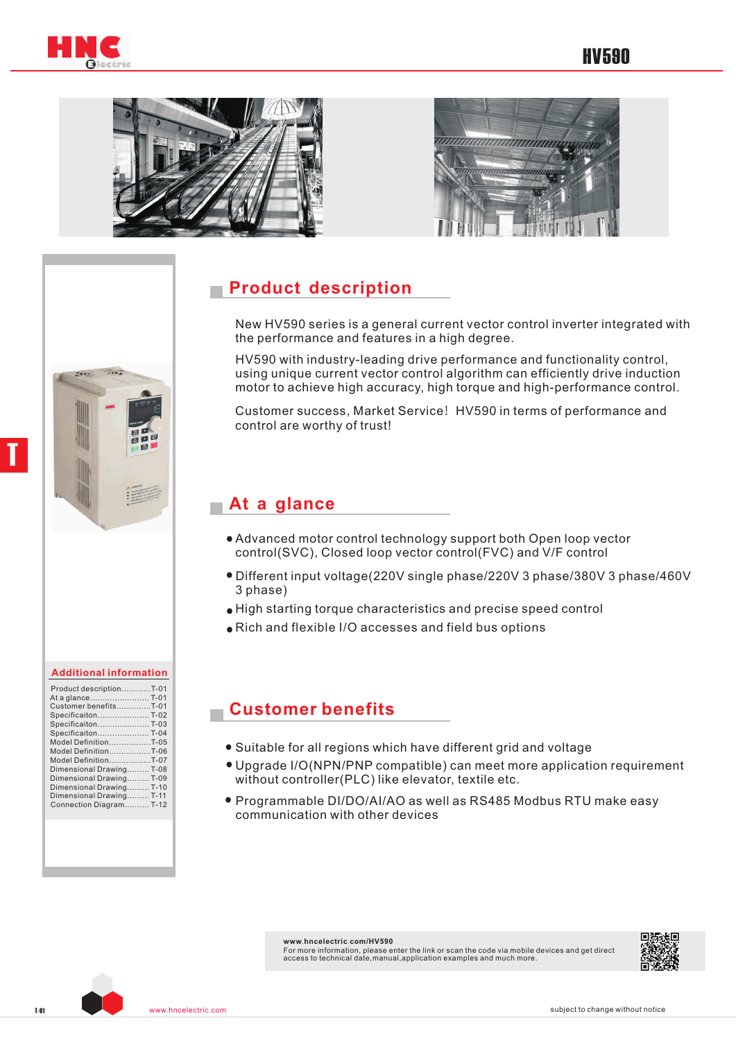





# **Product description**

New HV590 series is a general current vector control inverter integrated with the performance and features in a high degree.

HV590 with industry-leading drive performance and functionality control, using unique current vector control algorithm can efficiently drive induction motor to achieve high accuracy, high torque and high-performance control.

Customer success, Market Service! HV590 in terms of performance and control are worthy of trust!

#### **At a glance**

- Advanced motor control technology support both Open loop vector control(SVC), Closed loop vector control(FVC) and V/F control
- Different input voltage(220V single phase/220V 3 phase/380V 3 phase/460V 3 phase)
- High starting torque characteristics and precise speed control
- Rich and flexible I/O accesses and field bus options

#### **Customer benefits**

- Suitable for all regions which have different grid and voltage
- Upgrade I/O(NPN/PNP compatible) can meet more application requirement without controller(PLC) like elevator, textile etc.
- Programmable DI/DO/AI/AO as well as RS485 Modbus RTU make easy communication with other devices

**www**.**hncelectric**.**com/HV590** For more information, please enter the link or scan the code via mobile devices and get direct access to technical date,manual,application examples and much more.



T

| <b>Additional information</b> |
|-------------------------------|

| Product descriptionT-01<br>Customer benefitsT-01<br>Specificaiton T-02<br>Specificaiton T-03<br>SpecificaitonT-04<br>Model DefinitionT-05<br>Model DefinitionT-06<br>Model DefinitionT-07<br>Dimensional Drawing T-08<br>Dimensional Drawing T-09<br>Dimensional Drawing T-10<br>Dimensional Drawing T-11 |  |
|-----------------------------------------------------------------------------------------------------------------------------------------------------------------------------------------------------------------------------------------------------------------------------------------------------------|--|
|                                                                                                                                                                                                                                                                                                           |  |
| Connection Diagram T-12                                                                                                                                                                                                                                                                                   |  |
|                                                                                                                                                                                                                                                                                                           |  |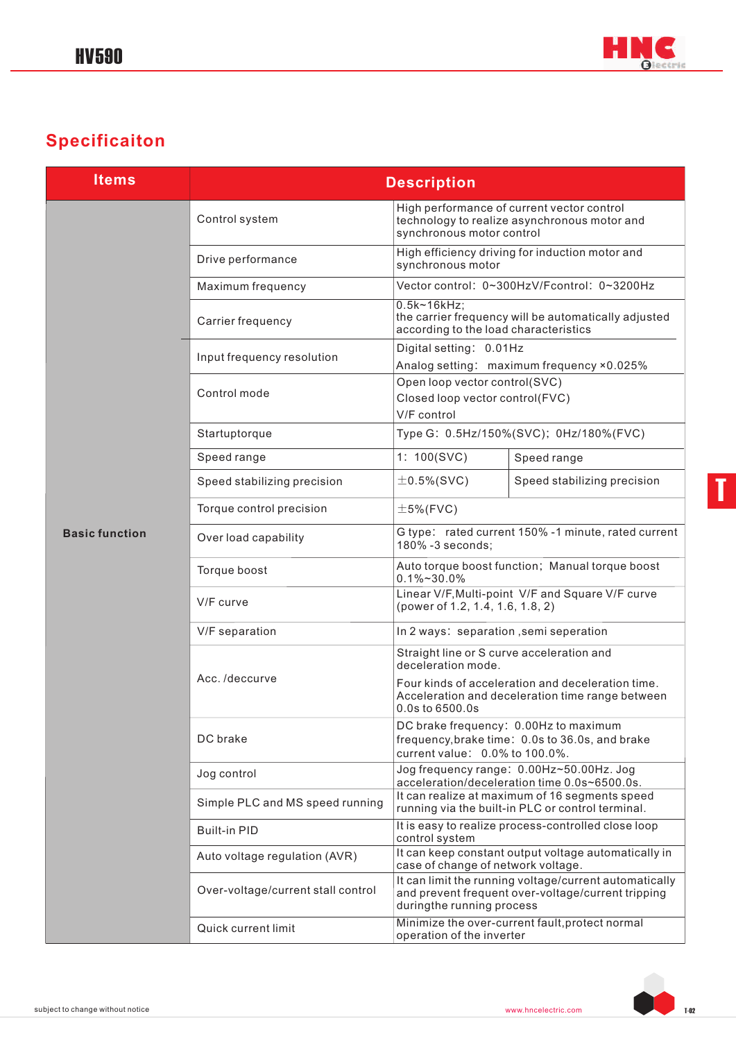

# **Specificaiton**

| <b>Items</b>          | <b>Description</b>                 |                                                                                                                            |                                                                                                              |  |  |  |  |  |
|-----------------------|------------------------------------|----------------------------------------------------------------------------------------------------------------------------|--------------------------------------------------------------------------------------------------------------|--|--|--|--|--|
|                       | Control system                     | High performance of current vector control<br>technology to realize asynchronous motor and<br>synchronous motor control    |                                                                                                              |  |  |  |  |  |
| <b>Basic function</b> | Drive performance                  | High efficiency driving for induction motor and<br>synchronous motor                                                       |                                                                                                              |  |  |  |  |  |
|                       | Maximum frequency                  |                                                                                                                            | Vector control: 0~300HzV/Fcontrol: 0~3200Hz                                                                  |  |  |  |  |  |
|                       | Carrier frequency                  | $0.5k-16kHz;$<br>according to the load characteristics                                                                     | the carrier frequency will be automatically adjusted                                                         |  |  |  |  |  |
|                       | Input frequency resolution         | Digital setting: 0.01Hz                                                                                                    | Analog setting: maximum frequency ×0.025%                                                                    |  |  |  |  |  |
|                       | Control mode                       | Open loop vector control(SVC)<br>Closed loop vector control(FVC)<br>V/F control                                            |                                                                                                              |  |  |  |  |  |
|                       | Startuptorque                      |                                                                                                                            | Type G: 0.5Hz/150%(SVC); 0Hz/180%(FVC)                                                                       |  |  |  |  |  |
|                       | Speed range                        | 1: 100(SVC)                                                                                                                | Speed range                                                                                                  |  |  |  |  |  |
|                       | Speed stabilizing precision        | $\pm$ 0.5%(SVC)                                                                                                            | Speed stabilizing precision                                                                                  |  |  |  |  |  |
|                       | Torque control precision           | $\pm$ 5%(FVC)                                                                                                              |                                                                                                              |  |  |  |  |  |
|                       | Over load capability               | G type: rated current 150% -1 minute, rated current<br>180% -3 seconds;                                                    |                                                                                                              |  |  |  |  |  |
|                       | Torque boost                       | Auto torque boost function; Manual torque boost<br>$0.1\% - 30.0\%$                                                        |                                                                                                              |  |  |  |  |  |
|                       | V/F curve                          | Linear V/F, Multi-point V/F and Square V/F curve<br>(power of 1.2, 1.4, 1.6, 1.8, 2)                                       |                                                                                                              |  |  |  |  |  |
|                       | V/F separation                     | In 2 ways: separation, semi seperation                                                                                     |                                                                                                              |  |  |  |  |  |
|                       |                                    | Straight line or S curve acceleration and<br>deceleration mode.                                                            |                                                                                                              |  |  |  |  |  |
|                       | Acc./deccurve                      | Four kinds of acceleration and deceleration time.<br>Acceleration and deceleration time range between<br>0.0s to 6500.0s   |                                                                                                              |  |  |  |  |  |
|                       | DC brake                           | DC brake frequency: 0.00Hz to maximum<br>frequency, brake time: 0.0s to 36.0s, and brake<br>current value: 0.0% to 100.0%. |                                                                                                              |  |  |  |  |  |
|                       | Jog control                        | Jog frequency range: 0.00Hz~50.00Hz. Jog<br>acceleration/deceleration time 0.0s~6500.0s.                                   |                                                                                                              |  |  |  |  |  |
|                       | Simple PLC and MS speed running    |                                                                                                                            | It can realize at maximum of 16 segments speed<br>running via the built-in PLC or control terminal.          |  |  |  |  |  |
|                       | <b>Built-in PID</b>                | control system                                                                                                             | It is easy to realize process-controlled close loop                                                          |  |  |  |  |  |
|                       | Auto voltage regulation (AVR)      | case of change of network voltage.                                                                                         | It can keep constant output voltage automatically in                                                         |  |  |  |  |  |
|                       | Over-voltage/current stall control | duringthe running process                                                                                                  | It can limit the running voltage/current automatically<br>and prevent frequent over-voltage/current tripping |  |  |  |  |  |
|                       | Quick current limit                | Minimize the over-current fault, protect normal<br>operation of the inverter                                               |                                                                                                              |  |  |  |  |  |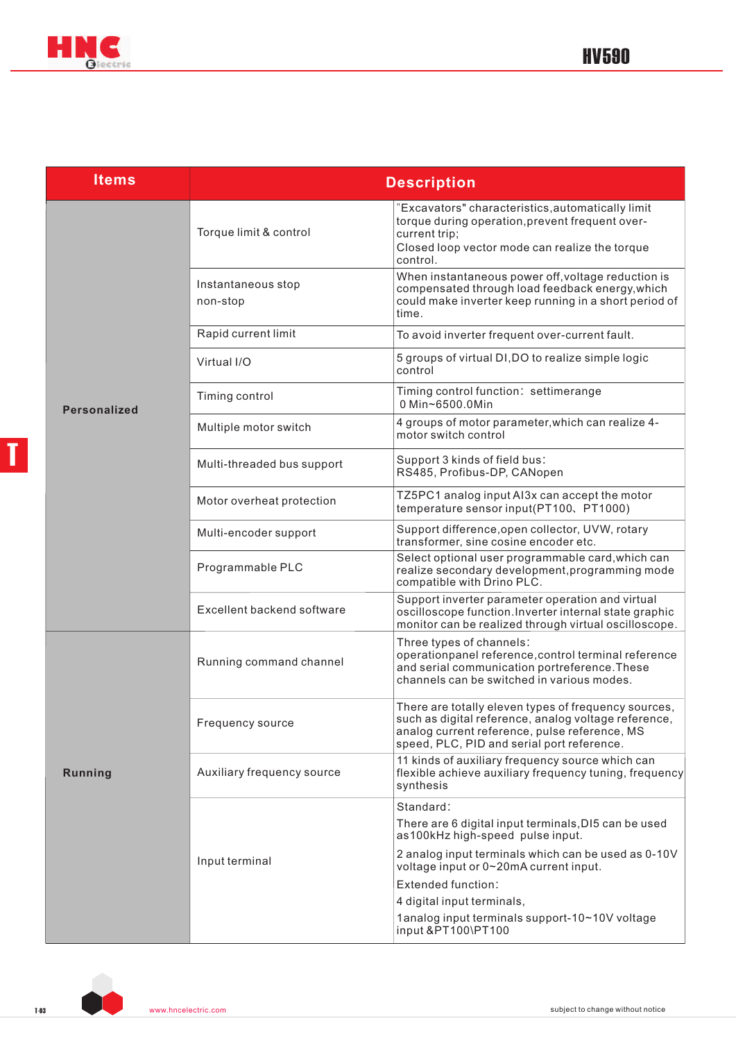



| <b>Items</b>        | <b>Description</b>             |                                                                                                                                                                                                             |  |  |  |  |  |  |
|---------------------|--------------------------------|-------------------------------------------------------------------------------------------------------------------------------------------------------------------------------------------------------------|--|--|--|--|--|--|
|                     | Torque limit & control         | "Excavators" characteristics, automatically limit<br>torque during operation, prevent frequent over-<br>current trip;<br>Closed loop vector mode can realize the torque<br>control.                         |  |  |  |  |  |  |
|                     | Instantaneous stop<br>non-stop | When instantaneous power off, voltage reduction is<br>compensated through load feedback energy, which<br>could make inverter keep running in a short period of<br>time.                                     |  |  |  |  |  |  |
|                     | Rapid current limit            | To avoid inverter frequent over-current fault.                                                                                                                                                              |  |  |  |  |  |  |
|                     | Virtual I/O                    | 5 groups of virtual DI, DO to realize simple logic<br>control                                                                                                                                               |  |  |  |  |  |  |
| <b>Personalized</b> | Timing control                 | Timing control function: settimerange<br>0 Min~6500.0Min                                                                                                                                                    |  |  |  |  |  |  |
|                     | Multiple motor switch          | 4 groups of motor parameter, which can realize 4-<br>motor switch control                                                                                                                                   |  |  |  |  |  |  |
|                     | Multi-threaded bus support     | Support 3 kinds of field bus:<br>RS485, Profibus-DP, CANopen                                                                                                                                                |  |  |  |  |  |  |
|                     | Motor overheat protection      | TZ5PC1 analog input AI3x can accept the motor<br>temperature sensor input(PT100、PT1000)                                                                                                                     |  |  |  |  |  |  |
|                     | Multi-encoder support          | Support difference, open collector, UVW, rotary<br>transformer, sine cosine encoder etc.                                                                                                                    |  |  |  |  |  |  |
|                     | Programmable PLC               | Select optional user programmable card, which can<br>realize secondary development, programming mode<br>compatible with Drino PLC.                                                                          |  |  |  |  |  |  |
|                     | Excellent backend software     | Support inverter parameter operation and virtual<br>oscilloscope function. Inverter internal state graphic<br>monitor can be realized through virtual oscilloscope.                                         |  |  |  |  |  |  |
|                     | Running command channel        | Three types of channels:<br>operationpanel reference, control terminal reference<br>and serial communication portreference. These<br>channels can be switched in various modes.                             |  |  |  |  |  |  |
|                     | Frequency source               | There are totally eleven types of frequency sources,<br>such as digital reference, analog voltage reference,<br>analog current reference, pulse reference, MS<br>speed, PLC, PID and serial port reference. |  |  |  |  |  |  |
| Running             | Auxiliary frequency source     | 11 kinds of auxiliary frequency source which can<br>flexible achieve auxiliary frequency tuning, frequency<br>synthesis                                                                                     |  |  |  |  |  |  |
|                     |                                | Standard:                                                                                                                                                                                                   |  |  |  |  |  |  |
|                     |                                | There are 6 digital input terminals, DI5 can be used<br>as100kHz high-speed pulse input.                                                                                                                    |  |  |  |  |  |  |
|                     | Input terminal                 | 2 analog input terminals which can be used as 0-10V<br>voltage input or 0~20mA current input.                                                                                                               |  |  |  |  |  |  |
|                     |                                | Extended function:                                                                                                                                                                                          |  |  |  |  |  |  |
|                     |                                | 4 digital input terminals,<br>1analog input terminals support-10~10V voltage<br>input &PT100\PT100                                                                                                          |  |  |  |  |  |  |

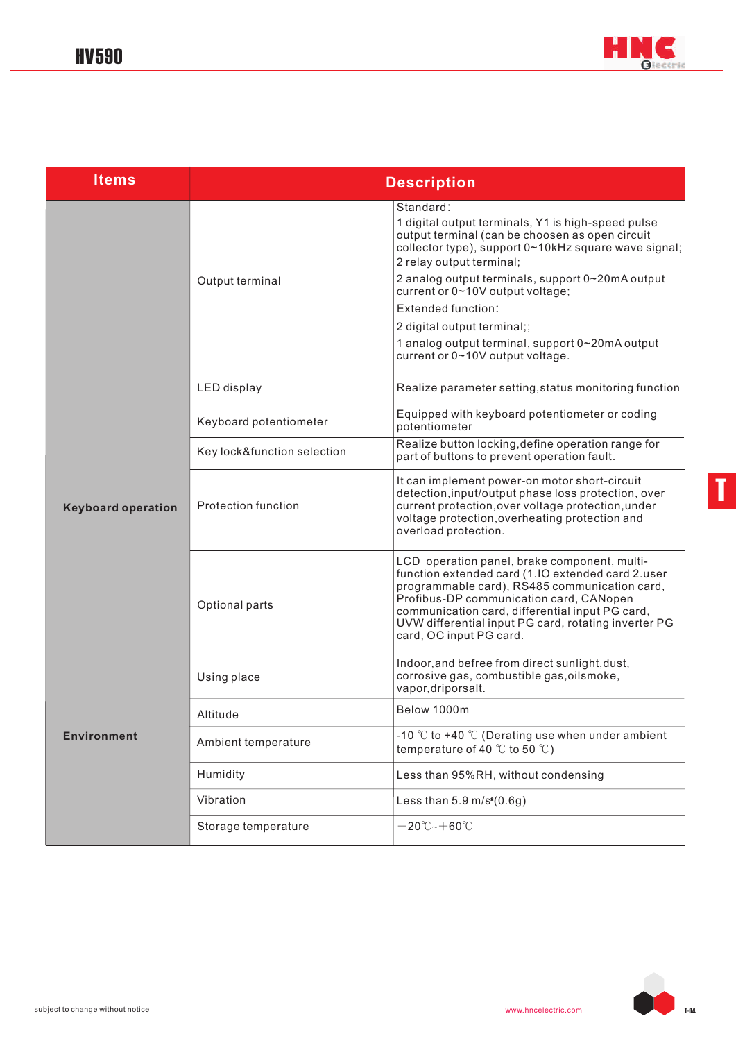

| <b>Items</b>              | <b>Description</b>          |                                                                                                                                                                                                                                                                                                                                                                                                                                            |  |  |  |  |  |  |
|---------------------------|-----------------------------|--------------------------------------------------------------------------------------------------------------------------------------------------------------------------------------------------------------------------------------------------------------------------------------------------------------------------------------------------------------------------------------------------------------------------------------------|--|--|--|--|--|--|
|                           | Output terminal             | Standard:<br>1 digital output terminals, Y1 is high-speed pulse<br>output terminal (can be choosen as open circuit<br>collector type), support 0~10kHz square wave signal;<br>2 relay output terminal;<br>2 analog output terminals, support 0~20mA output<br>current or 0~10V output voltage;<br>Extended function:<br>2 digital output terminal;;<br>1 analog output terminal, support 0~20mA output<br>current or 0~10V output voltage. |  |  |  |  |  |  |
|                           | <b>LED</b> display          | Realize parameter setting, status monitoring function                                                                                                                                                                                                                                                                                                                                                                                      |  |  |  |  |  |  |
|                           | Keyboard potentiometer      | Equipped with keyboard potentiometer or coding<br>potentiometer                                                                                                                                                                                                                                                                                                                                                                            |  |  |  |  |  |  |
|                           | Key lock&function selection | Realize button locking, define operation range for<br>part of buttons to prevent operation fault.                                                                                                                                                                                                                                                                                                                                          |  |  |  |  |  |  |
| <b>Keyboard operation</b> | <b>Protection function</b>  | It can implement power-on motor short-circuit<br>detection, input/output phase loss protection, over<br>current protection, over voltage protection, under<br>voltage protection, overheating protection and<br>overload protection.                                                                                                                                                                                                       |  |  |  |  |  |  |
|                           | Optional parts              | LCD operation panel, brake component, multi-<br>function extended card (1.IO extended card 2.user<br>programmable card), RS485 communication card,<br>Profibus-DP communication card, CANopen<br>communication card, differential input PG card,<br>UVW differential input PG card, rotating inverter PG<br>card, OC input PG card.                                                                                                        |  |  |  |  |  |  |
|                           | Using place                 | Indoor, and befree from direct sunlight, dust,<br>corrosive gas, combustible gas, oilsmoke,<br>vapor, driporsalt.                                                                                                                                                                                                                                                                                                                          |  |  |  |  |  |  |
|                           | Altitude                    | Below 1000m                                                                                                                                                                                                                                                                                                                                                                                                                                |  |  |  |  |  |  |
| <b>Environment</b>        | Ambient temperature         | -10 $\degree$ C to +40 $\degree$ C (Derating use when under ambient<br>temperature of 40 $\degree$ C to 50 $\degree$ C)                                                                                                                                                                                                                                                                                                                    |  |  |  |  |  |  |
|                           | Humidity                    | Less than 95%RH, without condensing                                                                                                                                                                                                                                                                                                                                                                                                        |  |  |  |  |  |  |
|                           | Vibration                   | Less than $5.9 \text{ m/s}^2(0.6g)$                                                                                                                                                                                                                                                                                                                                                                                                        |  |  |  |  |  |  |
|                           | Storage temperature         | $-20^{\circ}$ C~ $+60^{\circ}$ C                                                                                                                                                                                                                                                                                                                                                                                                           |  |  |  |  |  |  |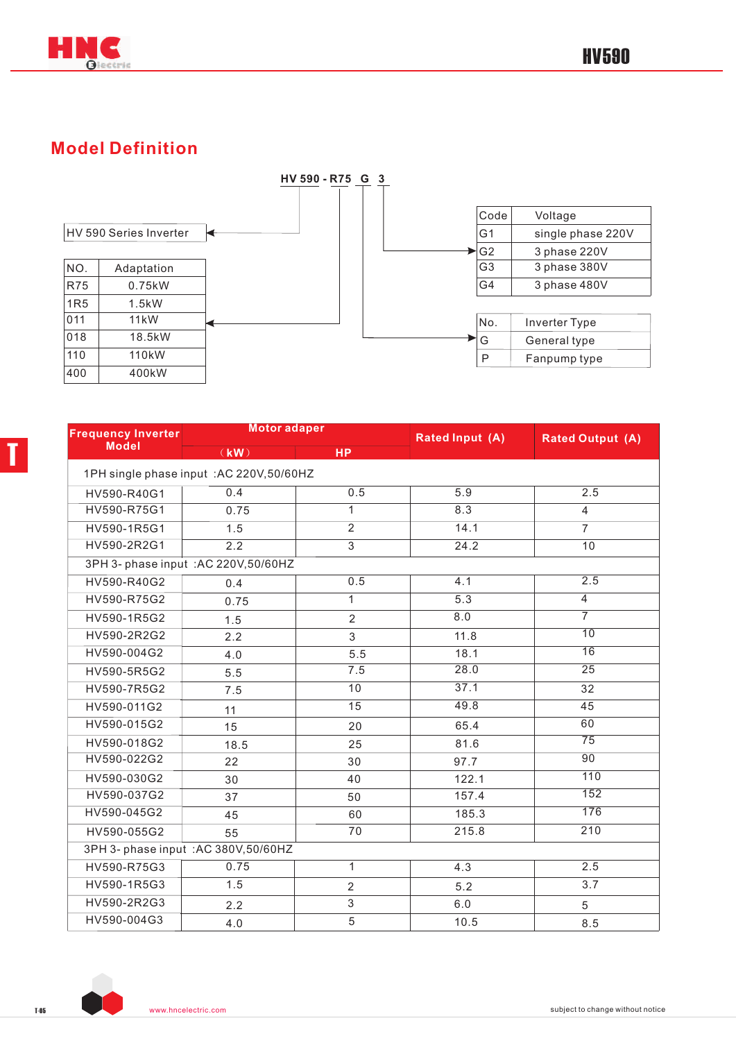

T

### **Model Definition**



| <b>Frequency Inverter</b> | <b>Motor adaper</b>                       |                 | <b>Rated Input (A)</b> | <b>Rated Output (A)</b> |
|---------------------------|-------------------------------------------|-----------------|------------------------|-------------------------|
| <b>Model</b>              | (kW)                                      | <b>HP</b>       |                        |                         |
|                           | 1PH single phase input : AC 220V, 50/60HZ |                 |                        |                         |
| HV590-R40G1               | 0.4                                       | 0.5             | 5.9                    | 2.5                     |
| HV590-R75G1               | 0.75                                      | $\mathbf{1}$    | 8.3                    | $\overline{4}$          |
| HV590-1R5G1               | 1.5                                       | $\overline{2}$  | 14.1                   | $\overline{7}$          |
| HV590-2R2G1               | 2.2                                       | $\overline{3}$  | 24.2                   | 10                      |
|                           | 3PH 3- phase input : AC 220V, 50/60HZ     |                 |                        |                         |
| HV590-R40G2               | 0.4                                       | 0.5             | 4.1                    | 2.5                     |
| HV590-R75G2               | 0.75                                      | $\overline{1}$  | 5.3                    | $\overline{4}$          |
| HV590-1R5G2               | 1.5                                       | $\overline{2}$  | 8.0                    | $\overline{7}$          |
| HV590-2R2G2               | 2.2                                       | 3               | 11.8                   | 10                      |
| HV590-004G2               | 4.0                                       | 5.5             | 18.1                   | 16                      |
| HV590-5R5G2               | 5.5                                       | 7.5             | 28.0                   | $\overline{25}$         |
| HV590-7R5G2               | 7.5                                       | 10              | 37.1                   | 32                      |
| HV590-011G2               | 11                                        | $\overline{15}$ | 49.8                   | 45                      |
| HV590-015G2               | 15                                        | 20              | 65.4                   | 60                      |
| HV590-018G2               | 18.5                                      | 25              | 81.6                   | $\overline{75}$         |
| HV590-022G2               | 22                                        | 30              | 97.7                   | 90                      |
| HV590-030G2               | 30                                        | 40              | 122.1                  | 110                     |
| HV590-037G2               | 37                                        | 50              | 157.4                  | 152                     |
| HV590-045G2               | 45                                        | 60              | 185.3                  | 176                     |
| HV590-055G2               | 55                                        | 70              | 215.8                  | 210                     |
|                           | 3PH 3- phase input : AC 380V, 50/60HZ     |                 |                        |                         |
| HV590-R75G3               | 0.75                                      | $\mathbf{1}$    | 4.3                    | 2.5                     |
| HV590-1R5G3               | 1.5                                       | $\overline{2}$  | 5.2                    | 3.7                     |
| HV590-2R2G3               | 2.2                                       | $\sqrt{3}$      | 6.0                    | 5                       |
| HV590-004G3               | 4.0                                       | 5               | 10.5                   | 8.5                     |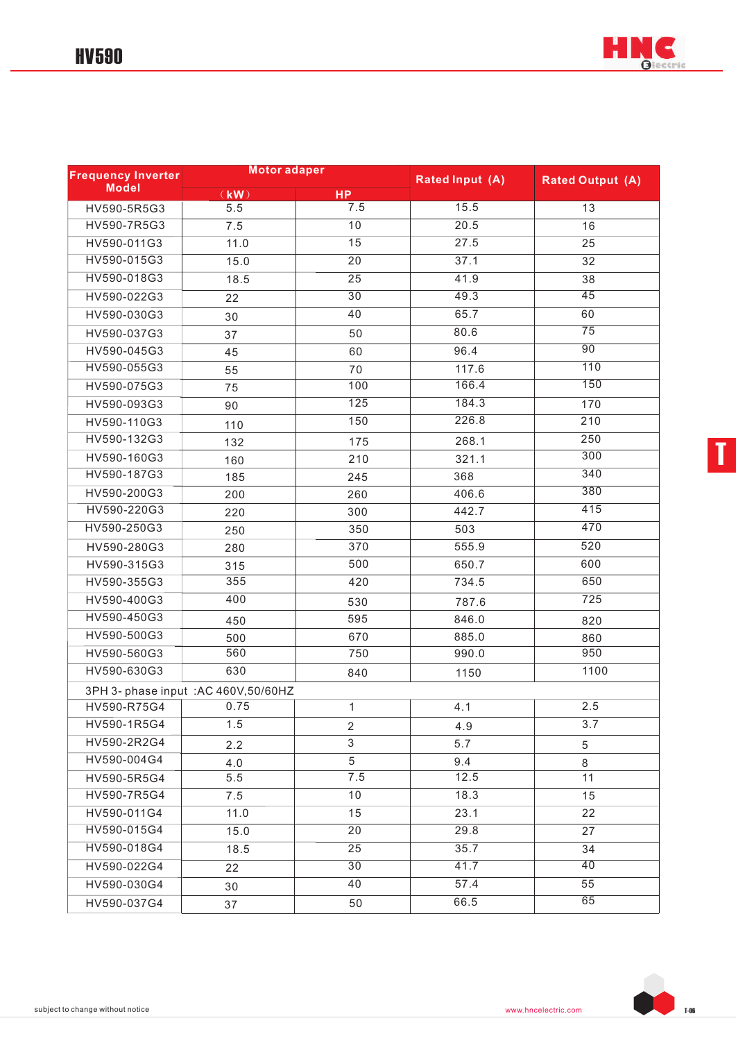

| <b>Frequency Inverter</b> | <b>Motor adaper</b>                   |                 | <b>Rated Input (A)</b> | <b>Rated Output (A)</b> |  |  |
|---------------------------|---------------------------------------|-----------------|------------------------|-------------------------|--|--|
| <b>Model</b>              | (KW)                                  | <b>HP</b>       |                        |                         |  |  |
| HV590-5R5G3               | 5.5                                   | 7.5             | 15.5                   | 13                      |  |  |
| HV590-7R5G3               | 7.5                                   | 10              | 20.5                   | 16                      |  |  |
| HV590-011G3               | 11.0                                  | 15              | 27.5                   | 25                      |  |  |
| HV590-015G3               | 15.0                                  | $\overline{20}$ | 37.1                   | 32                      |  |  |
| HV590-018G3               | 18.5                                  | 25              | 41.9                   | 38                      |  |  |
| HV590-022G3               | 22                                    | $\overline{30}$ | 49.3                   | 45                      |  |  |
| HV590-030G3               | 30                                    | 40              | 65.7                   | 60                      |  |  |
| HV590-037G3               | 37                                    | 50              | 80.6                   | 75                      |  |  |
| HV590-045G3               | 45                                    | 60              | 96.4                   | 90                      |  |  |
| HV590-055G3               | 55                                    | 70              | 117.6                  | 110                     |  |  |
| HV590-075G3               | 75                                    | 100             | 166.4                  | 150                     |  |  |
| HV590-093G3               | 90                                    | 125             | 184.3                  | 170                     |  |  |
| HV590-110G3               | 110                                   | 150             | 226.8                  | 210                     |  |  |
| HV590-132G3               | 132                                   | 175             | 268.1                  | 250                     |  |  |
| HV590-160G3               | 160                                   | 210             | 321.1                  | 300                     |  |  |
| HV590-187G3               | 185                                   | 245             | 368                    | 340                     |  |  |
| HV590-200G3               | 200                                   | 260             | 406.6                  | 380                     |  |  |
| HV590-220G3               | 220                                   | 300             | 442.7                  | 415                     |  |  |
| HV590-250G3               | 250                                   | 350             | 503                    | 470                     |  |  |
| HV590-280G3               | 280                                   | 370             | 555.9                  | 520                     |  |  |
| HV590-315G3               | 315                                   | 500             | 650.7                  | 600                     |  |  |
| HV590-355G3               | 355                                   | 420             | 734.5                  | 650                     |  |  |
| HV590-400G3               | 400                                   | 530             | 787.6                  | 725                     |  |  |
| HV590-450G3               | 450                                   | 595             | 846.0                  | 820                     |  |  |
| HV590-500G3               | 500                                   | 670             | 885.0                  | 860                     |  |  |
| HV590-560G3               | 560                                   | 750             | 990.0                  | 950                     |  |  |
| HV590-630G3               | 630                                   | 840             | 1150                   | 1100                    |  |  |
|                           | 3PH 3- phase input : AC 460V, 50/60HZ |                 |                        |                         |  |  |
| HV590-R75G4               | 0.75                                  | $\mathbf{1}$    | 4.1                    | 2.5                     |  |  |
| HV590-1R5G4               | 1.5                                   | $\overline{2}$  | 4.9                    | 3.7                     |  |  |
| HV590-2R2G4               | 2.2                                   | $\mathfrak{S}$  | 5.7                    | 5                       |  |  |
| HV590-004G4               | 4.0                                   | 5               | 9.4                    | 8                       |  |  |
| HV590-5R5G4               | 5.5                                   | 7.5             | 12.5                   | 11                      |  |  |
| HV590-7R5G4               | 7.5                                   | 10              | 18.3                   | 15                      |  |  |
| HV590-011G4               | 11.0                                  | 15              | 23.1                   | 22                      |  |  |
| HV590-015G4               | 15.0                                  | $\overline{20}$ | 29.8                   | 27                      |  |  |
| HV590-018G4               | 18.5                                  | 25              | 35.7                   | 34                      |  |  |
| HV590-022G4               | 22                                    | 30              | 41.7                   | 40                      |  |  |
| HV590-030G4               | 30                                    | 40              | 57.4                   | 55                      |  |  |
| HV590-037G4               | 37                                    | 50              | 66.5                   | 65                      |  |  |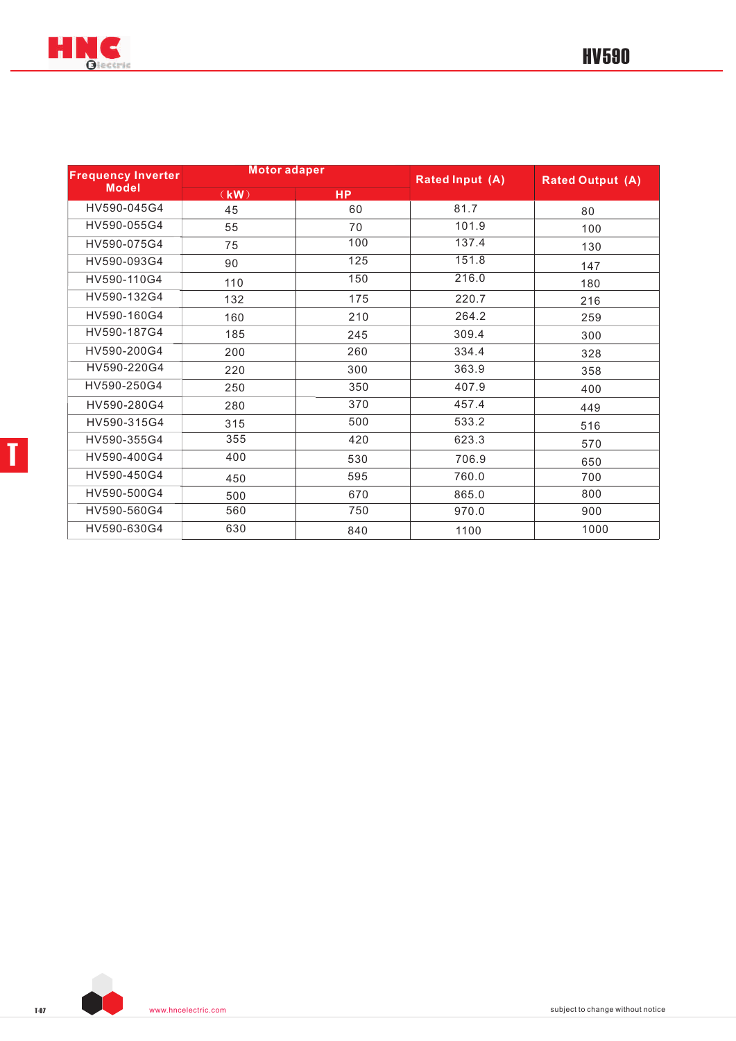

| <b>Frequency Inverter</b> | <b>Motor adaper</b> |     | <b>Rated Input (A)</b> | <b>Rated Output (A)</b> |  |  |
|---------------------------|---------------------|-----|------------------------|-------------------------|--|--|
| <b>Model</b>              | (KW)                | HP  |                        |                         |  |  |
| HV590-045G4               | 45                  | 60  | 81.7                   | 80                      |  |  |
| HV590-055G4               | 55                  | 70  | 101.9                  | 100                     |  |  |
| HV590-075G4               | 75                  | 100 | 137.4                  | 130                     |  |  |
| HV590-093G4               | 90                  | 125 | 151.8                  | 147                     |  |  |
| HV590-110G4               | 110                 | 150 | 216.0                  | 180                     |  |  |
| HV590-132G4               | 132                 | 175 | 220.7                  | 216                     |  |  |
| HV590-160G4               | 160                 | 210 | 264.2                  | 259                     |  |  |
| HV590-187G4               | 185                 | 245 | 309.4                  | 300                     |  |  |
| HV590-200G4               | 200                 | 260 | 334.4                  | 328                     |  |  |
| HV590-220G4               | 220                 | 300 | 363.9                  | 358                     |  |  |
| HV590-250G4               | 250                 | 350 | 407.9                  | 400                     |  |  |
| HV590-280G4               | 280                 | 370 | 457.4                  | 449                     |  |  |
| HV590-315G4               | 315                 | 500 | 533.2                  | 516                     |  |  |
| HV590-355G4               | 355                 | 420 | 623.3                  | 570                     |  |  |
| HV590-400G4               | 400                 | 530 | 706.9                  | 650                     |  |  |
| HV590-450G4               | 450                 | 595 | 760.0                  | 700                     |  |  |
| HV590-500G4               | 500                 | 670 | 865.0                  | 800                     |  |  |
| HV590-560G4               | 560                 | 750 | 970.0                  | 900                     |  |  |
| HV590-630G4               | 630                 | 840 | 1100                   | 1000                    |  |  |



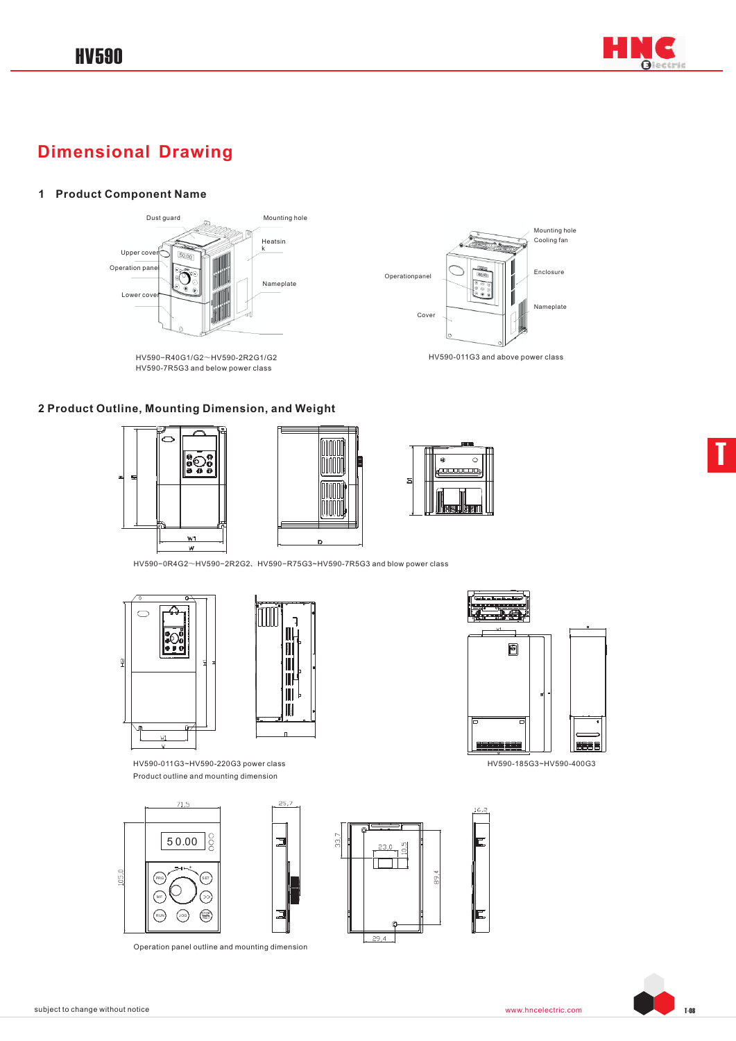

## **Dimensional Drawing**

#### **1 Product Component Name**



HV590−R40G1/G2~HV590-2R2G1/G2 HV590-7R5G3 and below power class









Operationpanel

Cover

HV590−0R4G2~HV590−2R2G2、HV590−R75G3~HV590-7R5G3 and blow power class





HV590-011G3~HV590-220G3 power class HV590-185G3~HV590-400G3 Product outline and mounting dimension









Mounting hole Cooling fan

Enclosure

Nameplate

HV590-011G3 and above power class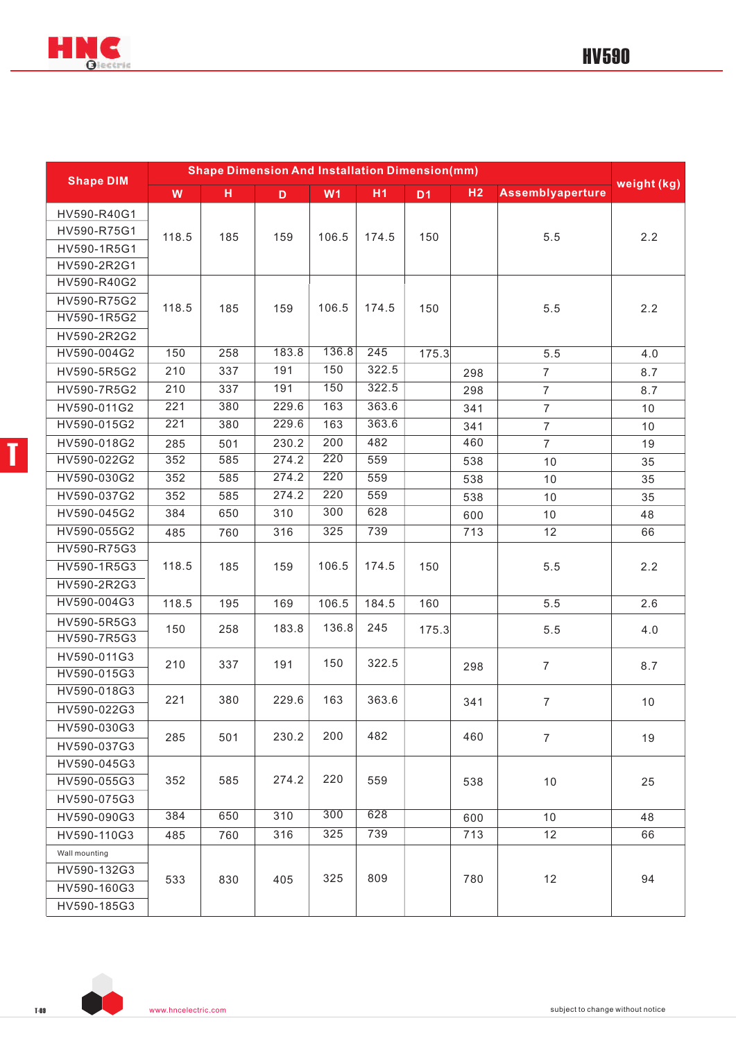

| <b>Shape DIM</b> | <b>Shape Dimension And Installation Dimension(mm)</b> |     |             |                |                |           |                |                         |             |     |
|------------------|-------------------------------------------------------|-----|-------------|----------------|----------------|-----------|----------------|-------------------------|-------------|-----|
|                  | W                                                     | H   | $\mathbf D$ | W <sub>1</sub> | H <sub>1</sub> | <b>D1</b> | H <sub>2</sub> | <b>Assemblyaperture</b> | weight (kg) |     |
| HV590-R40G1      |                                                       |     |             |                |                |           |                |                         |             |     |
| HV590-R75G1      | 118.5                                                 | 185 | 159         | 106.5          | 174.5          | 150       |                | 5.5                     | 2.2         |     |
| HV590-1R5G1      |                                                       |     |             |                |                |           |                |                         |             |     |
| HV590-2R2G1      |                                                       |     |             |                |                |           |                |                         |             |     |
| HV590-R40G2      |                                                       |     |             |                |                |           |                |                         |             |     |
| HV590-R75G2      | 118.5                                                 | 185 | 159         | 106.5          | 174.5          | 150       |                | 5.5                     | 2.2         |     |
| HV590-1R5G2      |                                                       |     |             |                |                |           |                |                         |             |     |
| HV590-2R2G2      |                                                       |     |             |                |                |           |                |                         |             |     |
| HV590-004G2      | 150                                                   | 258 | 183.8       | 136.8          | 245            | 175.3     |                | 5.5                     | 4.0         |     |
| HV590-5R5G2      | 210                                                   | 337 | 191         | 150            | 322.5          |           | 298            | $\overline{7}$          | 8.7         |     |
| HV590-7R5G2      | 210                                                   | 337 | 191         | 150            | 322.5          |           | 298            | $\overline{7}$          | 8.7         |     |
| HV590-011G2      | 221                                                   | 380 | 229.6       | 163            | 363.6          |           | 341            | $\overline{7}$          | 10          |     |
| HV590-015G2      | 221                                                   | 380 | 229.6       | 163            | 363.6          |           | 341            | $\overline{7}$          | 10          |     |
| HV590-018G2      | 285                                                   | 501 | 230.2       | 200            | 482            |           | 460            | $\overline{7}$          | 19          |     |
| HV590-022G2      | 352                                                   | 585 | 274.2       | 220            | 559            |           | 538            | 10                      | 35          |     |
| HV590-030G2      | 352                                                   | 585 | 274.2       | 220            | 559            |           | 538            | 10                      | 35          |     |
| HV590-037G2      | 352                                                   | 585 | 274.2       | 220            | 559            |           | 538            | 10                      | 35          |     |
| HV590-045G2      | 384                                                   | 650 | 310         | 300            | 628            |           | 600            | 10                      | 48          |     |
| HV590-055G2      | 485                                                   | 760 | 316         | 325            | 739            |           | 713            | 12                      | 66          |     |
| HV590-R75G3      |                                                       |     |             |                |                |           |                |                         |             |     |
| HV590-1R5G3      | 118.5                                                 |     | 185         | 159            | 106.5          | 174.5     | 150            |                         | 5.5         | 2.2 |
| HV590-2R2G3      |                                                       |     |             |                |                |           |                |                         |             |     |
| HV590-004G3      | 118.5                                                 | 195 | 169         | 106.5          | 184.5          | 160       |                | 5.5                     | 2.6         |     |
| HV590-5R5G3      | 150                                                   | 258 | 183.8       | 136.8          | 245            | 175.3     |                | 5.5                     | 4.0         |     |
| HV590-7R5G3      |                                                       |     |             |                |                |           |                |                         |             |     |
| HV590-011G3      | 210                                                   | 337 | 191         | 150            | 322.5          |           | 298            | $\overline{7}$          | 8.7         |     |
| HV590-015G3      |                                                       |     |             |                |                |           |                |                         |             |     |
| HV590-018G3      | 221                                                   | 380 | 229.6       | 163            | 363.6          |           | 341            | $\overline{7}$          | 10          |     |
| HV590-022G3      |                                                       |     |             |                |                |           |                |                         |             |     |
| HV590-030G3      | 285                                                   | 501 | 230.2       | 200            | 482            |           | 460            | $\overline{7}$          | 19          |     |
| HV590-037G3      |                                                       |     |             |                |                |           |                |                         |             |     |
| HV590-045G3      |                                                       |     |             |                |                |           |                |                         |             |     |
| HV590-055G3      | 352                                                   | 585 | 274.2       | 220            | 559            |           | 538            | $10$                    | 25          |     |
| HV590-075G3      |                                                       |     |             |                |                |           |                |                         |             |     |
| HV590-090G3      | 384                                                   | 650 | 310         | 300            | 628            |           | 600            | 10                      | 48          |     |
| HV590-110G3      | 485                                                   | 760 | 316         | 325            | 739            |           | 713            | 12                      | 66          |     |
| Wall mounting    |                                                       |     |             |                |                |           |                |                         |             |     |
| HV590-132G3      | 533                                                   | 830 | 405         | 325            | 809            |           | 780            | 12                      | 94          |     |
| HV590-160G3      |                                                       |     |             |                |                |           |                |                         |             |     |
| HV590-185G3      |                                                       |     |             |                |                |           |                |                         |             |     |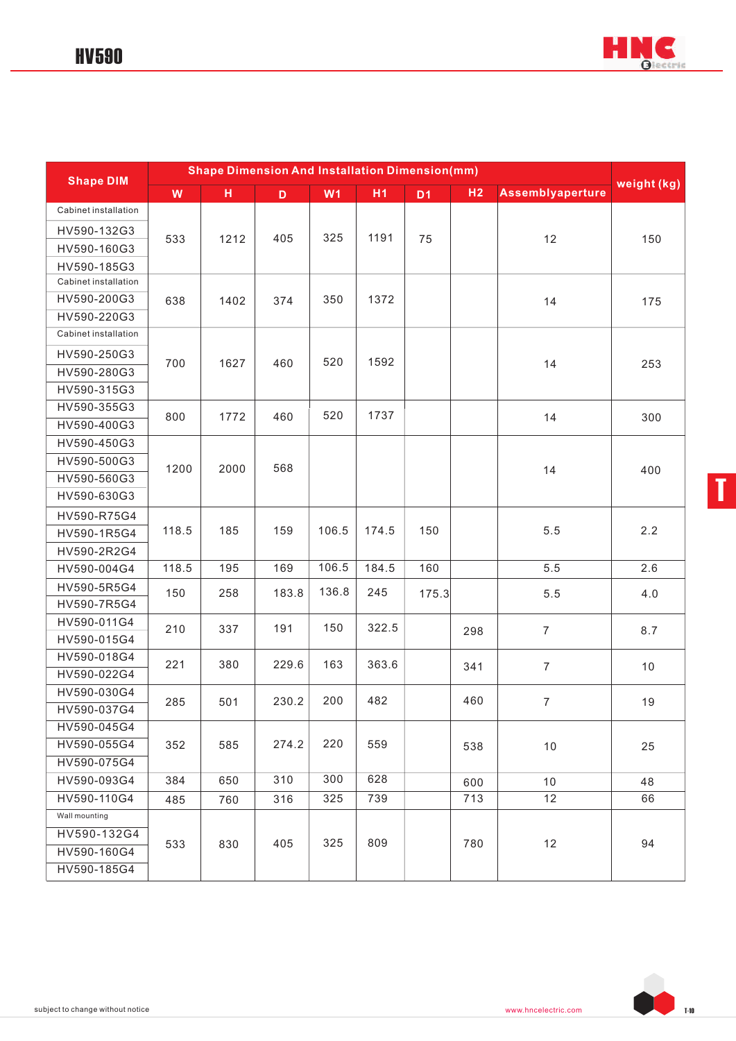

| <b>Shape DIM</b>     | <b>Shape Dimension And Installation Dimension(mm)</b> |      |             |       |                |                |                |                         |             |
|----------------------|-------------------------------------------------------|------|-------------|-------|----------------|----------------|----------------|-------------------------|-------------|
|                      | W                                                     | H    | $\mathbf D$ | W1    | H <sub>1</sub> | D <sub>1</sub> | H <sub>2</sub> | <b>Assemblyaperture</b> | weight (kg) |
| Cabinet installation |                                                       |      |             |       |                |                |                |                         |             |
| HV590-132G3          |                                                       |      |             | 325   | 1191           |                |                |                         |             |
| HV590-160G3          | 533                                                   | 1212 | 405         |       |                | 75             |                | 12                      | 150         |
| HV590-185G3          |                                                       |      |             |       |                |                |                |                         |             |
| Cabinet installation |                                                       |      |             |       |                |                |                |                         |             |
| HV590-200G3          | 638                                                   | 1402 | 374         | 350   | 1372           |                |                | 14                      | 175         |
| HV590-220G3          |                                                       |      |             |       |                |                |                |                         |             |
| Cabinet installation |                                                       |      |             |       |                |                |                |                         |             |
| HV590-250G3          |                                                       |      |             |       |                |                |                |                         |             |
| HV590-280G3          | 700                                                   | 1627 | 460         | 520   | 1592           |                |                | 14                      | 253         |
| HV590-315G3          |                                                       |      |             |       |                |                |                |                         |             |
| HV590-355G3          |                                                       |      |             | 520   | 1737           |                |                |                         |             |
| HV590-400G3          | 800                                                   | 1772 | 460         |       |                |                |                | 14                      | 300         |
| HV590-450G3          |                                                       |      |             |       |                |                |                |                         |             |
| HV590-500G3          | 1200                                                  | 2000 | 568         |       |                |                |                |                         |             |
| HV590-560G3          |                                                       |      |             |       |                |                |                | 14                      | 400         |
| HV590-630G3          |                                                       |      |             |       |                |                |                |                         |             |
| HV590-R75G4          |                                                       |      |             |       |                |                |                |                         |             |
| HV590-1R5G4          | 118.5                                                 | 185  | 159         | 106.5 | 174.5          | 150            |                | 5.5                     | 2.2         |
| HV590-2R2G4          |                                                       |      |             |       |                |                |                |                         |             |
| HV590-004G4          | 118.5                                                 | 195  | 169         | 106.5 | 184.5          | 160            |                | 5.5                     | 2.6         |
| HV590-5R5G4          | 150                                                   | 258  | 183.8       | 136.8 | 245            | 175.3          |                | 5.5                     | 4.0         |
| HV590-7R5G4          |                                                       |      |             |       |                |                |                |                         |             |
| HV590-011G4          | 210                                                   | 337  | 191         | 150   | 322.5          |                | 298            | $\overline{7}$          | 8.7         |
| HV590-015G4          |                                                       |      |             |       |                |                |                |                         |             |
| HV590-018G4          | 221                                                   | 380  | 229.6       | 163   | 363.6          |                | 341            | $\overline{7}$          | 10          |
| HV590-022G4          |                                                       |      |             |       |                |                |                |                         |             |
| HV590-030G4          | 285                                                   | 501  | 230.2       | 200   | 482            |                | 460            | $\overline{7}$          | 19          |
| HV590-037G4          |                                                       |      |             |       |                |                |                |                         |             |
| HV590-045G4          |                                                       |      |             |       |                |                |                |                         |             |
| HV590-055G4          | 352                                                   | 585  | 274.2       | 220   | 559            |                | 538            | 10                      | 25          |
| HV590-075G4          |                                                       |      |             |       |                |                |                |                         |             |
| HV590-093G4          | 384                                                   | 650  | 310         | 300   | 628            |                | 600            | 10                      | 48          |
| HV590-110G4          | 485                                                   | 760  | 316         | 325   | 739            |                | 713            | 12                      | 66          |
| Wall mounting        |                                                       |      |             |       |                |                |                |                         |             |
| HV590-132G4          |                                                       | 830  | 405         | 325   | 809            |                | 780            | 12                      | 94          |
| HV590-160G4          | 533                                                   |      |             |       |                |                |                |                         |             |
| HV590-185G4          |                                                       |      |             |       |                |                |                |                         |             |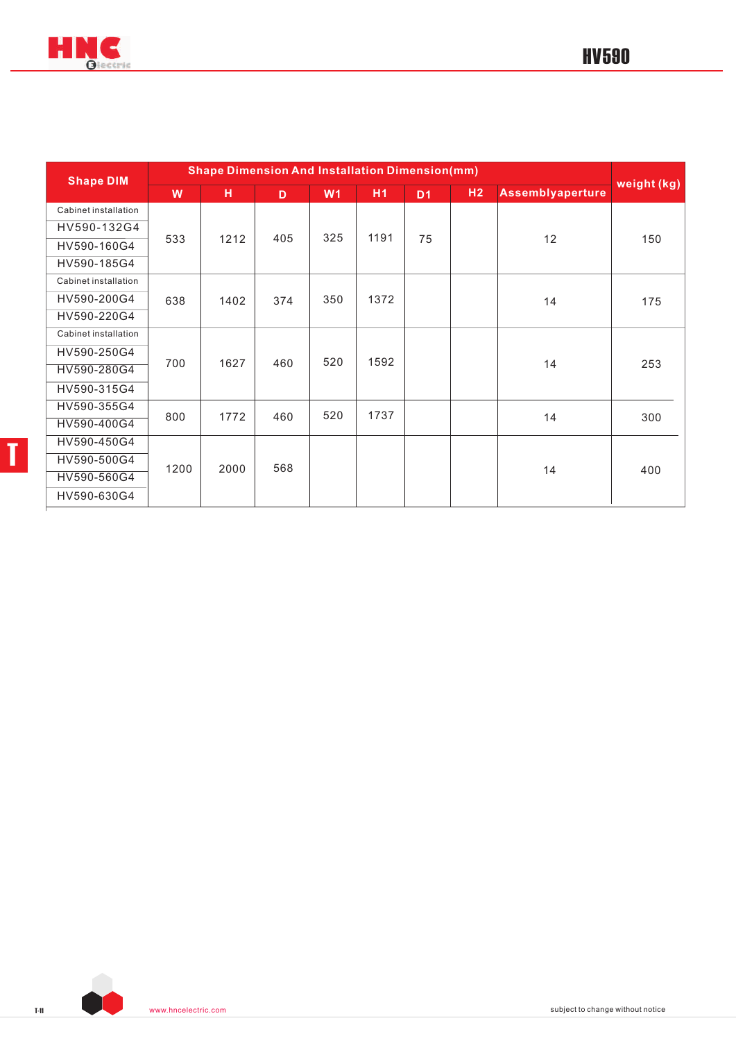

| <b>Shape DIM</b>     | <b>Shape Dimension And Installation Dimension(mm)</b> |      |     |                |                |                |    |                         |             |  |
|----------------------|-------------------------------------------------------|------|-----|----------------|----------------|----------------|----|-------------------------|-------------|--|
|                      | W                                                     | н    | D   | W <sub>1</sub> | H <sub>1</sub> | D <sub>1</sub> | H2 | <b>Assemblyaperture</b> | weight (kg) |  |
| Cabinet installation |                                                       |      |     |                |                |                |    |                         |             |  |
| HV590-132G4          |                                                       |      | 405 | 325            | 1191           |                |    |                         |             |  |
| HV590-160G4          | 533                                                   | 1212 |     |                |                | 75             |    | 12                      | 150         |  |
| HV590-185G4          |                                                       |      |     |                |                |                |    |                         |             |  |
| Cabinet installation |                                                       |      |     |                |                |                |    |                         |             |  |
| HV590-200G4          | 638                                                   | 1402 | 374 | 350            | 1372           |                |    | 14                      | 175         |  |
| HV590-220G4          |                                                       |      |     |                |                |                |    |                         |             |  |
| Cabinet installation |                                                       |      |     |                |                |                |    |                         |             |  |
| HV590-250G4          |                                                       |      |     |                |                |                |    |                         |             |  |
| HV590-280G4          | 700                                                   | 1627 | 460 | 520            | 1592           |                |    | 14                      | 253         |  |
| HV590-315G4          |                                                       |      |     |                |                |                |    |                         |             |  |
| HV590-355G4          |                                                       |      | 460 | 520            | 1737           |                |    |                         |             |  |
| HV590-400G4          | 800                                                   | 1772 |     |                |                |                |    | 14                      | 300         |  |
| HV590-450G4          |                                                       |      |     |                |                |                |    |                         |             |  |
| HV590-500G4          |                                                       |      | 568 |                |                |                |    |                         |             |  |
| HV590-560G4          | 1200                                                  | 2000 |     |                |                |                |    | 14                      | 400         |  |
| HV590-630G4          |                                                       |      |     |                |                |                |    |                         |             |  |